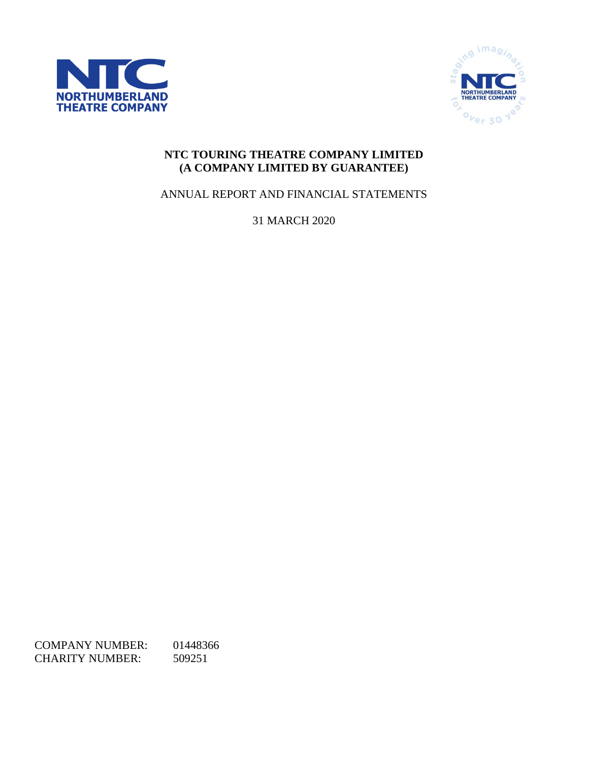



# **NTC TOURING THEATRE COMPANY LIMITED (A COMPANY LIMITED BY GUARANTEE)**

ANNUAL REPORT AND FINANCIAL STATEMENTS

31 MARCH 2020

COMPANY NUMBER: 01448366 CHARITY NUMBER: 509251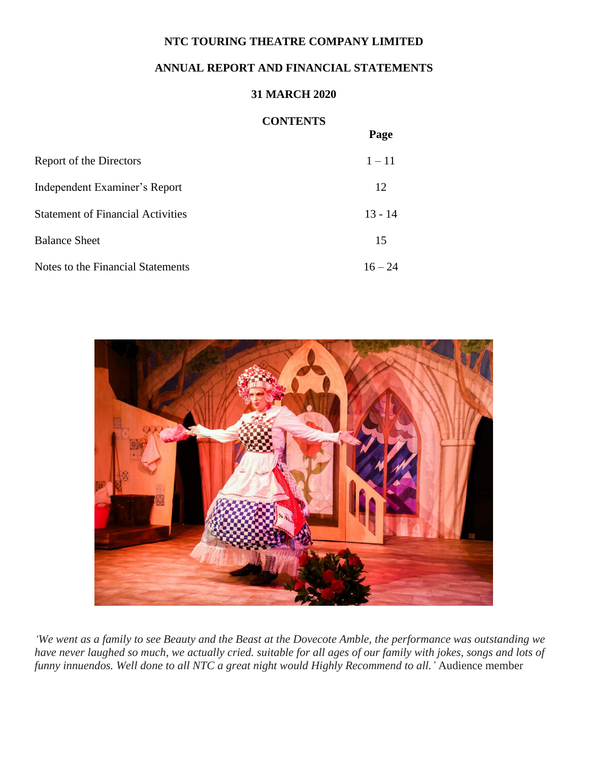# **ANNUAL REPORT AND FINANCIAL STATEMENTS**

# **31 MARCH 2020**

# **CONTENTS**

**Page**

|                                          | - ---     |
|------------------------------------------|-----------|
| Report of the Directors                  | $1 - 11$  |
| Independent Examiner's Report            | 12        |
| <b>Statement of Financial Activities</b> | $13 - 14$ |
| <b>Balance Sheet</b>                     | 15        |
| Notes to the Financial Statements        | $16 - 24$ |



*'We went as a family to see Beauty and the Beast at the Dovecote Amble, the performance was outstanding we have never laughed so much, we actually cried. suitable for all ages of our family with jokes, songs and lots of funny innuendos. Well done to all NTC a great night would Highly Recommend to all.'* Audience member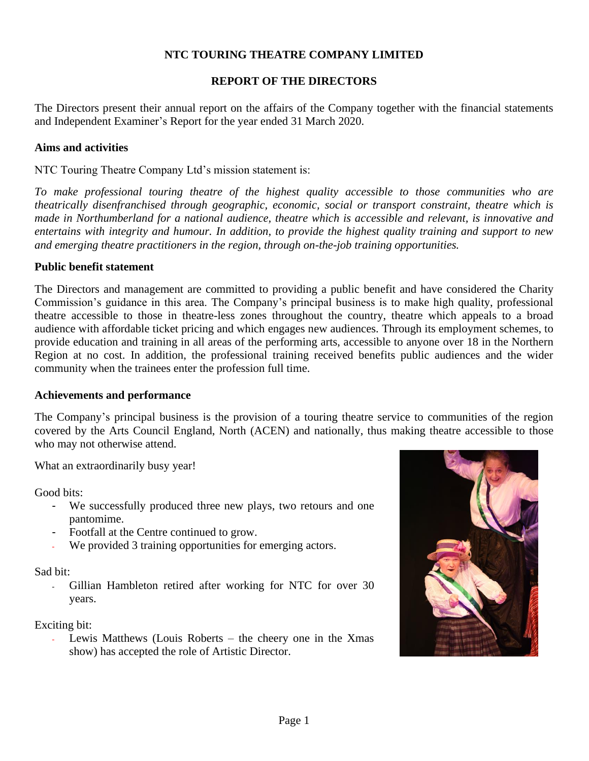#### **REPORT OF THE DIRECTORS**

The Directors present their annual report on the affairs of the Company together with the financial statements and Independent Examiner's Report for the year ended 31 March 2020.

#### **Aims and activities**

NTC Touring Theatre Company Ltd's mission statement is:

*To make professional touring theatre of the highest quality accessible to those communities who are theatrically disenfranchised through geographic, economic, social or transport constraint, theatre which is made in Northumberland for a national audience, theatre which is accessible and relevant, is innovative and entertains with integrity and humour. In addition, to provide the highest quality training and support to new and emerging theatre practitioners in the region, through on-the-job training opportunities.* 

#### **Public benefit statement**

The Directors and management are committed to providing a public benefit and have considered the Charity Commission's guidance in this area. The Company's principal business is to make high quality, professional theatre accessible to those in theatre-less zones throughout the country, theatre which appeals to a broad audience with affordable ticket pricing and which engages new audiences. Through its employment schemes, to provide education and training in all areas of the performing arts, accessible to anyone over 18 in the Northern Region at no cost. In addition, the professional training received benefits public audiences and the wider community when the trainees enter the profession full time.

#### **Achievements and performance**

The Company's principal business is the provision of a touring theatre service to communities of the region covered by the Arts Council England, North (ACEN) and nationally, thus making theatre accessible to those who may not otherwise attend.

What an extraordinarily busy year!

Good bits:

- We successfully produced three new plays, two retours and one pantomime.
- Footfall at the Centre continued to grow.
- We provided 3 training opportunities for emerging actors.

Sad bit:

- Gillian Hambleton retired after working for NTC for over 30 years.

Exciting bit:

Lewis Matthews (Louis Roberts  $-$  the cheery one in the Xmas show) has accepted the role of Artistic Director.

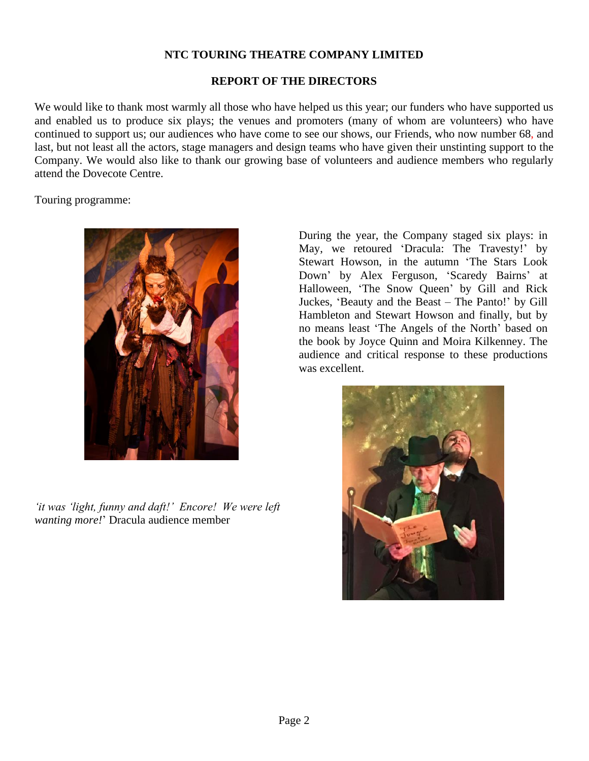#### **REPORT OF THE DIRECTORS**

We would like to thank most warmly all those who have helped us this year; our funders who have supported us and enabled us to produce six plays; the venues and promoters (many of whom are volunteers) who have continued to support us; our audiences who have come to see our shows, our Friends, who now number 68, and last, but not least all the actors, stage managers and design teams who have given their unstinting support to the Company. We would also like to thank our growing base of volunteers and audience members who regularly attend the Dovecote Centre.

Touring programme:



*'it was 'light, funny and daft!' Encore! We were left wanting more!*' Dracula audience member

During the year, the Company staged six plays: in May, we retoured 'Dracula: The Travesty!' by Stewart Howson, in the autumn 'The Stars Look Down' by Alex Ferguson, 'Scaredy Bairns' at Halloween, 'The Snow Queen' by Gill and Rick Juckes, 'Beauty and the Beast – The Panto!' by Gill Hambleton and Stewart Howson and finally, but by no means least 'The Angels of the North' based on the book by Joyce Quinn and Moira Kilkenney. The audience and critical response to these productions was excellent.

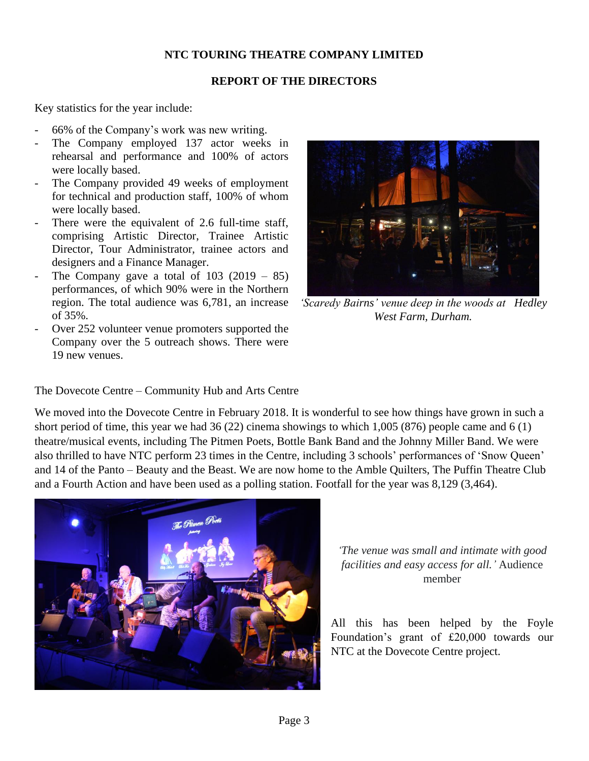# **REPORT OF THE DIRECTORS**

Key statistics for the year include:

- 66% of the Company's work was new writing.
- The Company employed 137 actor weeks in rehearsal and performance and 100% of actors were locally based.
- The Company provided 49 weeks of employment for technical and production staff, 100% of whom were locally based.
- There were the equivalent of 2.6 full-time staff, comprising Artistic Director, Trainee Artistic Director, Tour Administrator, trainee actors and designers and a Finance Manager.
- The Company gave a total of  $103$  (2019 85) performances, of which 90% were in the Northern region. The total audience was 6,781, an increase of 35%.
- Over 252 volunteer venue promoters supported the Company over the 5 outreach shows. There were 19 new venues.



*'Scaredy Bairns' venue deep in the woods at Hedley West Farm, Durham.*

# The Dovecote Centre – Community Hub and Arts Centre

We moved into the Dovecote Centre in February 2018. It is wonderful to see how things have grown in such a short period of time, this year we had 36 (22) cinema showings to which 1,005 (876) people came and 6 (1) theatre/musical events, including The Pitmen Poets, Bottle Bank Band and the Johnny Miller Band. We were also thrilled to have NTC perform 23 times in the Centre, including 3 schools' performances of 'Snow Queen' and 14 of the Panto – Beauty and the Beast. We are now home to the Amble Quilters, The Puffin Theatre Club and a Fourth Action and have been used as a polling station. Footfall for the year was 8,129 (3,464).



*'The venue was small and intimate with good facilities and easy access for all.'* Audience member

All this has been helped by the Foyle Foundation's grant of £20,000 towards our NTC at the Dovecote Centre project.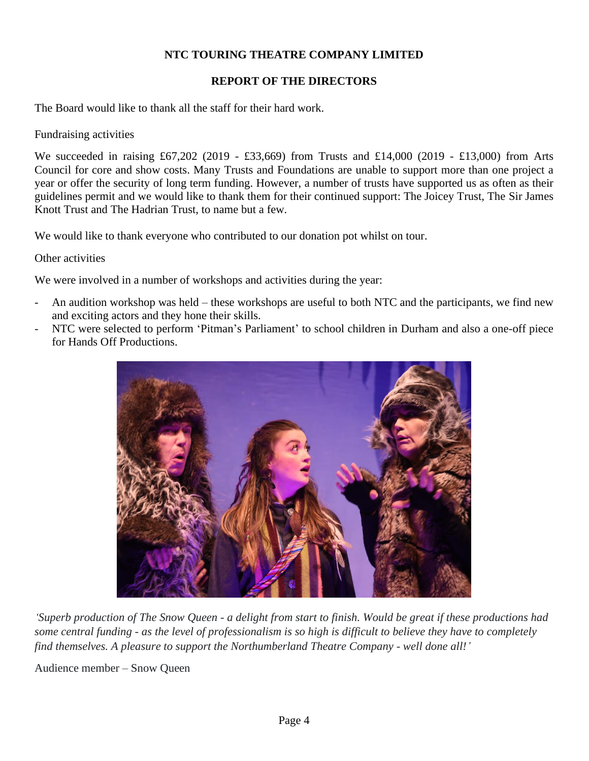# **REPORT OF THE DIRECTORS**

The Board would like to thank all the staff for their hard work.

Fundraising activities

We succeeded in raising £67,202 (2019 - £33,669) from Trusts and £14,000 (2019 - £13,000) from Arts Council for core and show costs. Many Trusts and Foundations are unable to support more than one project a year or offer the security of long term funding. However, a number of trusts have supported us as often as their guidelines permit and we would like to thank them for their continued support: The Joicey Trust, The Sir James Knott Trust and The Hadrian Trust, to name but a few.

We would like to thank everyone who contributed to our donation pot whilst on tour.

#### Other activities

We were involved in a number of workshops and activities during the year:

- An audition workshop was held these workshops are useful to both NTC and the participants, we find new and exciting actors and they hone their skills.
- NTC were selected to perform 'Pitman's Parliament' to school children in Durham and also a one-off piece for Hands Off Productions.



*'Superb production of The Snow Queen - a delight from start to finish. Would be great if these productions had some central funding - as the level of professionalism is so high is difficult to believe they have to completely find themselves. A pleasure to support the Northumberland Theatre Company - well done all!'*

Audience member – Snow Queen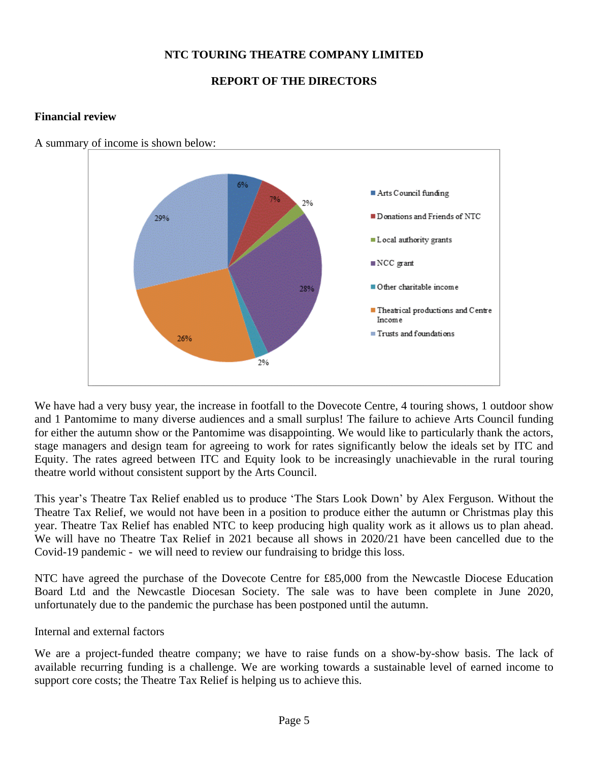# **REPORT OF THE DIRECTORS**

# **Financial review**



A summary of income is shown below:

We have had a very busy year, the increase in footfall to the Dovecote Centre, 4 touring shows, 1 outdoor show and 1 Pantomime to many diverse audiences and a small surplus! The failure to achieve Arts Council funding for either the autumn show or the Pantomime was disappointing. We would like to particularly thank the actors, stage managers and design team for agreeing to work for rates significantly below the ideals set by ITC and Equity. The rates agreed between ITC and Equity look to be increasingly unachievable in the rural touring theatre world without consistent support by the Arts Council.

This year's Theatre Tax Relief enabled us to produce 'The Stars Look Down' by Alex Ferguson. Without the Theatre Tax Relief, we would not have been in a position to produce either the autumn or Christmas play this year. Theatre Tax Relief has enabled NTC to keep producing high quality work as it allows us to plan ahead. We will have no Theatre Tax Relief in 2021 because all shows in 2020/21 have been cancelled due to the Covid-19 pandemic - we will need to review our fundraising to bridge this loss.

NTC have agreed the purchase of the Dovecote Centre for £85,000 from the Newcastle Diocese Education Board Ltd and the Newcastle Diocesan Society. The sale was to have been complete in June 2020, unfortunately due to the pandemic the purchase has been postponed until the autumn.

Internal and external factors

We are a project-funded theatre company; we have to raise funds on a show-by-show basis. The lack of available recurring funding is a challenge. We are working towards a sustainable level of earned income to support core costs; the Theatre Tax Relief is helping us to achieve this.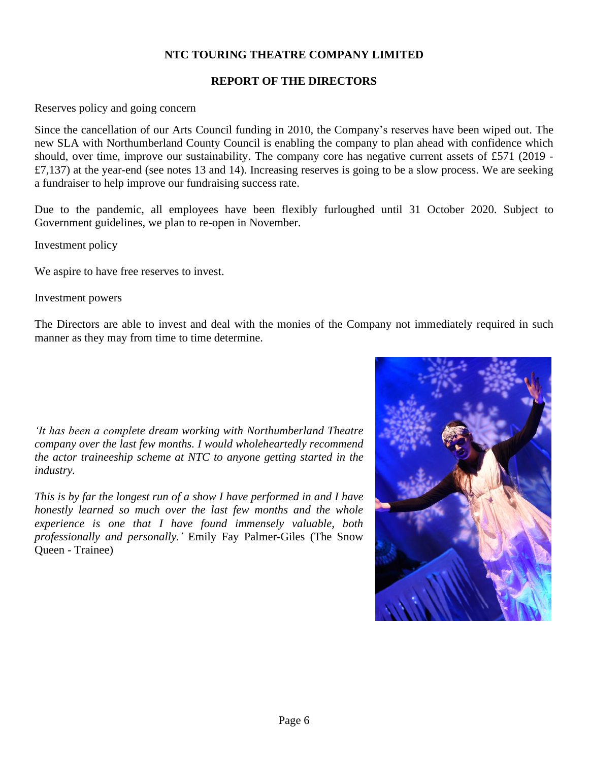# **REPORT OF THE DIRECTORS**

Reserves policy and going concern

Since the cancellation of our Arts Council funding in 2010, the Company's reserves have been wiped out. The new SLA with Northumberland County Council is enabling the company to plan ahead with confidence which should, over time, improve our sustainability. The company core has negative current assets of £571 (2019 -  $£7,137)$  at the year-end (see notes 13 and 14). Increasing reserves is going to be a slow process. We are seeking a fundraiser to help improve our fundraising success rate.

Due to the pandemic, all employees have been flexibly furloughed until 31 October 2020. Subject to Government guidelines, we plan to re-open in November.

Investment policy

We aspire to have free reserves to invest.

Investment powers

The Directors are able to invest and deal with the monies of the Company not immediately required in such manner as they may from time to time determine.

*'It has been a complete dream working with Northumberland Theatre company over the last few months. I would wholeheartedly recommend the actor traineeship scheme at NTC to anyone getting started in the industry.* 

*This is by far the longest run of a show I have performed in and I have honestly learned so much over the last few months and the whole experience is one that I have found immensely valuable, both professionally and personally.'* Emily Fay Palmer-Giles (The Snow Queen - Trainee)

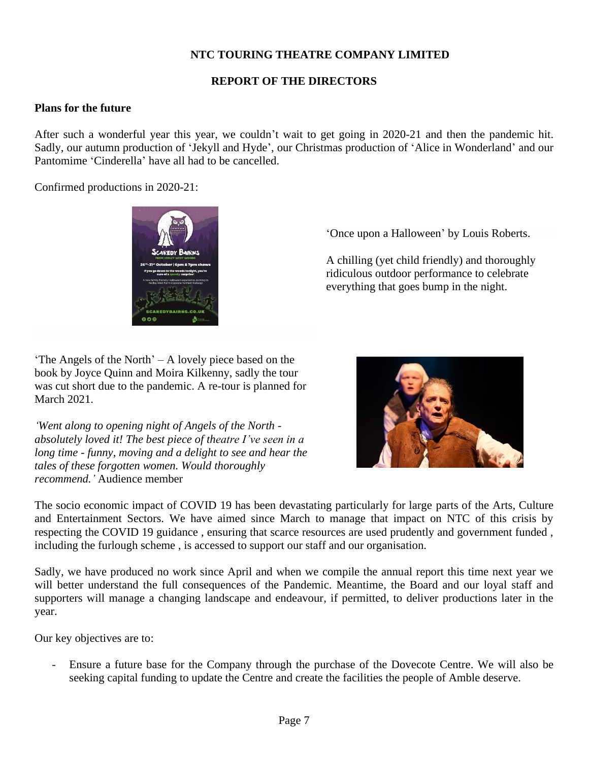#### **REPORT OF THE DIRECTORS**

#### **Plans for the future**

After such a wonderful year this year, we couldn't wait to get going in 2020-21 and then the pandemic hit. Sadly, our autumn production of 'Jekyll and Hyde', our Christmas production of 'Alice in Wonderland' and our Pantomime 'Cinderella' have all had to be cancelled.

Confirmed productions in 2020-21:

'Once upon a Halloween' by Louis Roberts.

A chilling (yet child friendly) and thoroughly ridiculous outdoor performance to celebrate everything that goes bump in the night.

'The Angels of the North' – A lovely piece based on the book by Joyce Quinn and Moira Kilkenny, sadly the tour was cut short due to the pandemic. A re-tour is planned for March 2021.

*'Went along to opening night of Angels of the North absolutely loved it! The best piece of theatre I've seen in a long time - funny, moving and a delight to see and hear the tales of these forgotten women. Would thoroughly recommend.'* Audience member

The socio economic impact of COVID 19 has been devastating particularly for large parts of the Arts, Culture and Entertainment Sectors. We have aimed since March to manage that impact on NTC of this crisis by respecting the COVID 19 guidance , ensuring that scarce resources are used prudently and government funded , including the furlough scheme , is accessed to support our staff and our organisation.

Sadly, we have produced no work since April and when we compile the annual report this time next year we will better understand the full consequences of the Pandemic. Meantime, the Board and our loyal staff and supporters will manage a changing landscape and endeavour, if permitted, to deliver productions later in the year.

Our key objectives are to:

Ensure a future base for the Company through the purchase of the Dovecote Centre. We will also be seeking capital funding to update the Centre and create the facilities the people of Amble deserve.



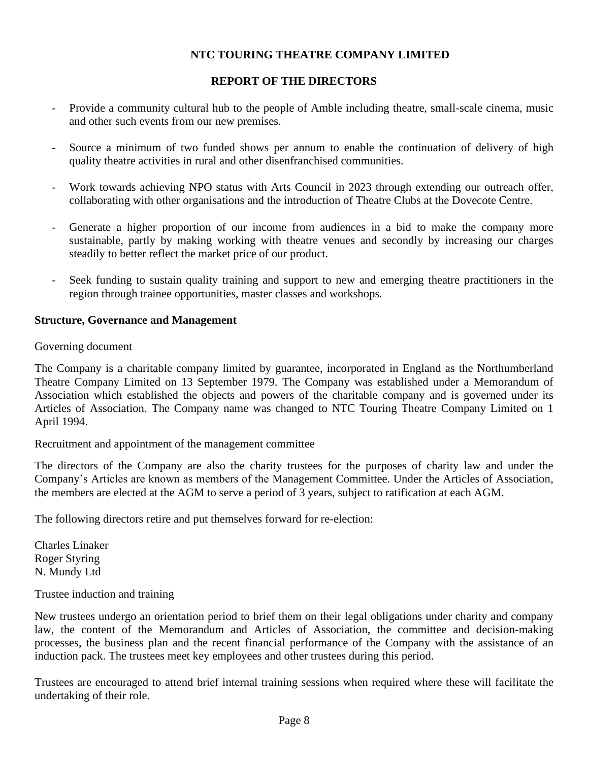#### **REPORT OF THE DIRECTORS**

- Provide a community cultural hub to the people of Amble including theatre, small-scale cinema, music and other such events from our new premises.
- Source a minimum of two funded shows per annum to enable the continuation of delivery of high quality theatre activities in rural and other disenfranchised communities.
- Work towards achieving NPO status with Arts Council in 2023 through extending our outreach offer, collaborating with other organisations and the introduction of Theatre Clubs at the Dovecote Centre.
- Generate a higher proportion of our income from audiences in a bid to make the company more sustainable, partly by making working with theatre venues and secondly by increasing our charges steadily to better reflect the market price of our product.
- Seek funding to sustain quality training and support to new and emerging theatre practitioners in the region through trainee opportunities, master classes and workshops*.*

#### **Structure, Governance and Management**

Governing document

The Company is a charitable company limited by guarantee, incorporated in England as the Northumberland Theatre Company Limited on 13 September 1979. The Company was established under a Memorandum of Association which established the objects and powers of the charitable company and is governed under its Articles of Association. The Company name was changed to NTC Touring Theatre Company Limited on 1 April 1994.

Recruitment and appointment of the management committee

The directors of the Company are also the charity trustees for the purposes of charity law and under the Company's Articles are known as members of the Management Committee. Under the Articles of Association, the members are elected at the AGM to serve a period of 3 years, subject to ratification at each AGM.

The following directors retire and put themselves forward for re-election:

Charles Linaker Roger Styring N. Mundy Ltd

Trustee induction and training

New trustees undergo an orientation period to brief them on their legal obligations under charity and company law, the content of the Memorandum and Articles of Association, the committee and decision-making processes, the business plan and the recent financial performance of the Company with the assistance of an induction pack. The trustees meet key employees and other trustees during this period.

Trustees are encouraged to attend brief internal training sessions when required where these will facilitate the undertaking of their role.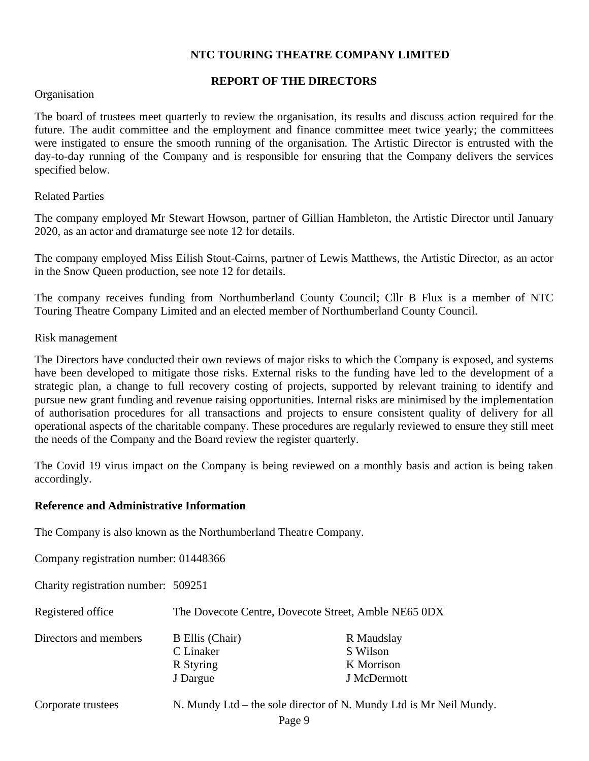#### **REPORT OF THE DIRECTORS**

#### Organisation

The board of trustees meet quarterly to review the organisation, its results and discuss action required for the future. The audit committee and the employment and finance committee meet twice yearly; the committees were instigated to ensure the smooth running of the organisation. The Artistic Director is entrusted with the day-to-day running of the Company and is responsible for ensuring that the Company delivers the services specified below.

#### Related Parties

The company employed Mr Stewart Howson, partner of Gillian Hambleton, the Artistic Director until January 2020, as an actor and dramaturge see note 12 for details.

The company employed Miss Eilish Stout-Cairns, partner of Lewis Matthews, the Artistic Director, as an actor in the Snow Queen production, see note 12 for details.

The company receives funding from Northumberland County Council; Cllr B Flux is a member of NTC Touring Theatre Company Limited and an elected member of Northumberland County Council.

#### Risk management

The Directors have conducted their own reviews of major risks to which the Company is exposed, and systems have been developed to mitigate those risks. External risks to the funding have led to the development of a strategic plan, a change to full recovery costing of projects, supported by relevant training to identify and pursue new grant funding and revenue raising opportunities. Internal risks are minimised by the implementation of authorisation procedures for all transactions and projects to ensure consistent quality of delivery for all operational aspects of the charitable company. These procedures are regularly reviewed to ensure they still meet the needs of the Company and the Board review the register quarterly.

The Covid 19 virus impact on the Company is being reviewed on a monthly basis and action is being taken accordingly.

#### **Reference and Administrative Information**

The Company is also known as the Northumberland Theatre Company.

Company registration number: 01448366

Charity registration number: 509251

| Registered office     | The Dovecote Centre, Dovecote Street, Amble NE65 0DX         |                                                     |  |  |  |  |
|-----------------------|--------------------------------------------------------------|-----------------------------------------------------|--|--|--|--|
| Directors and members | <b>B</b> Ellis (Chair)<br>C Linaker<br>R Styring<br>J Dargue | R Maudslay<br>S Wilson<br>K Morrison<br>J McDermott |  |  |  |  |
|                       |                                                              |                                                     |  |  |  |  |

| Corporate trustees |  |
|--------------------|--|
|--------------------|--|

N. Mundy Ltd – the sole director of N. Mundy Ltd is Mr Neil Mundy.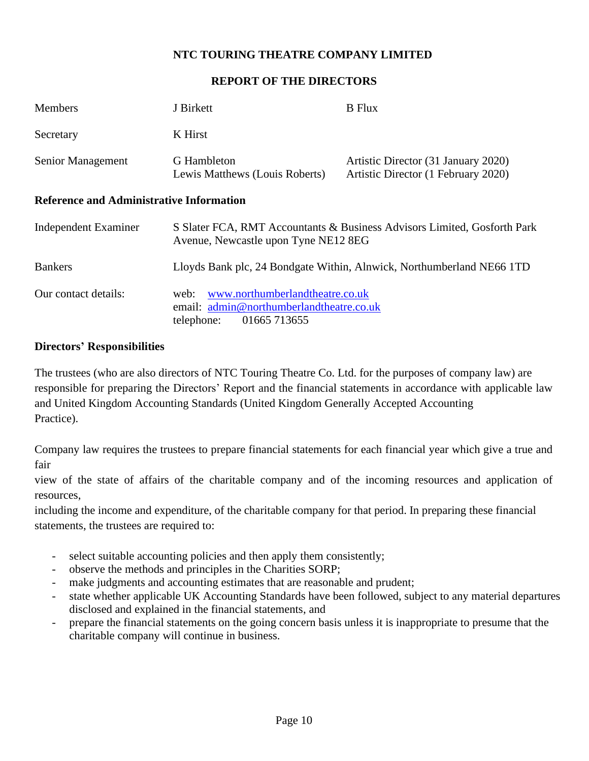#### **REPORT OF THE DIRECTORS**

| <b>Members</b>                                  | J Birkett                                                                                                                    | <b>B</b> Flux                                                              |
|-------------------------------------------------|------------------------------------------------------------------------------------------------------------------------------|----------------------------------------------------------------------------|
| Secretary                                       | K Hirst                                                                                                                      |                                                                            |
| Senior Management                               | G Hambleton<br>Lewis Matthews (Louis Roberts)                                                                                | Artistic Director (31 January 2020)<br>Artistic Director (1 February 2020) |
| <b>Reference and Administrative Information</b> |                                                                                                                              |                                                                            |
| Independent Examiner                            | Avenue, Newcastle upon Tyne NE12 8EG                                                                                         | S Slater FCA, RMT Accountants & Business Advisors Limited, Gosforth Park   |
| <b>Bankers</b>                                  |                                                                                                                              | Lloyds Bank plc, 24 Bondgate Within, Alnwick, Northumberland NE66 1TD      |
| Our contact details:                            | www.northumberlandtheatre.co.uk<br>web:<br>email: $\text{admin@northumber}$ and the atre.co.uk<br>01665 713655<br>telephone: |                                                                            |

#### **Directors' Responsibilities**

The trustees (who are also directors of NTC Touring Theatre Co. Ltd. for the purposes of company law) are responsible for preparing the Directors' Report and the financial statements in accordance with applicable law and United Kingdom Accounting Standards (United Kingdom Generally Accepted Accounting Practice).

Company law requires the trustees to prepare financial statements for each financial year which give a true and fair

view of the state of affairs of the charitable company and of the incoming resources and application of resources,

including the income and expenditure, of the charitable company for that period. In preparing these financial statements, the trustees are required to:

- select suitable accounting policies and then apply them consistently;
- observe the methods and principles in the Charities SORP;
- make judgments and accounting estimates that are reasonable and prudent;
- state whether applicable UK Accounting Standards have been followed, subject to any material departures disclosed and explained in the financial statements, and
- prepare the financial statements on the going concern basis unless it is inappropriate to presume that the charitable company will continue in business.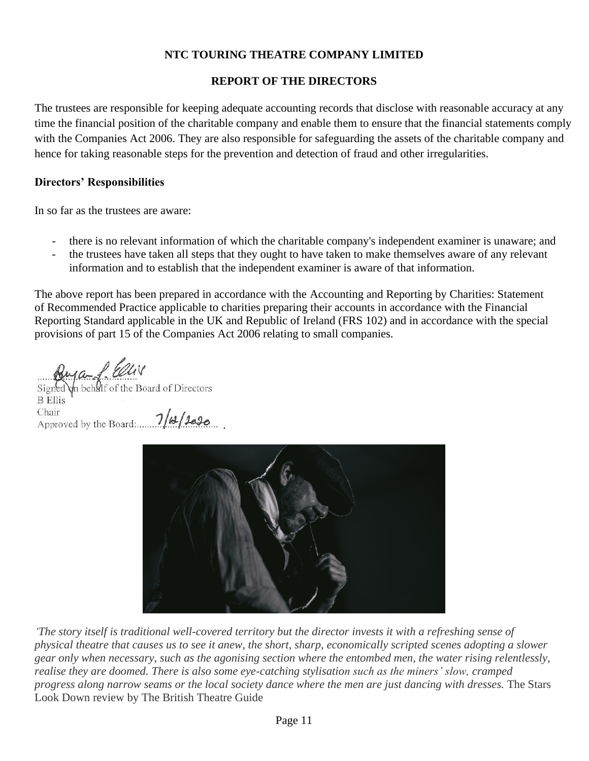# **REPORT OF THE DIRECTORS**

The trustees are responsible for keeping adequate accounting records that disclose with reasonable accuracy at any time the financial position of the charitable company and enable them to ensure that the financial statements comply with the Companies Act 2006. They are also responsible for safeguarding the assets of the charitable company and hence for taking reasonable steps for the prevention and detection of fraud and other irregularities.

# **Directors' Responsibilities**

In so far as the trustees are aware:

- there is no relevant information of which the charitable company's independent examiner is unaware; and
- the trustees have taken all steps that they ought to have taken to make themselves aware of any relevant information and to establish that the independent examiner is aware of that information.

The above report has been prepared in accordance with the Accounting and Reporting by Charities: Statement of Recommended Practice applicable to charities preparing their accounts in accordance with the Financial Reporting Standard applicable in the UK and Republic of Ireland (FRS 102) and in accordance with the special provisions of part 15 of the Companies Act 2006 relating to small companies.

 $\ln$  beh $\Omega$  of the Board of Directors Signed **B** Ellis Chair Chair<br>Approved by the Board:  $7/13/900$ 



.

*'The story itself is traditional well-covered territory but the director invests it with a refreshing sense of physical theatre that causes us to see it anew, the short, sharp, economically scripted scenes adopting a slower gear only when necessary, such as the agonising section where the entombed men, the water rising relentlessly, realise they are doomed. There is also some eye-catching stylisation such as the miners' slow, cramped progress along narrow seams or the local society dance where the men are just dancing with dresses.* The Stars Look Down review by The British Theatre Guide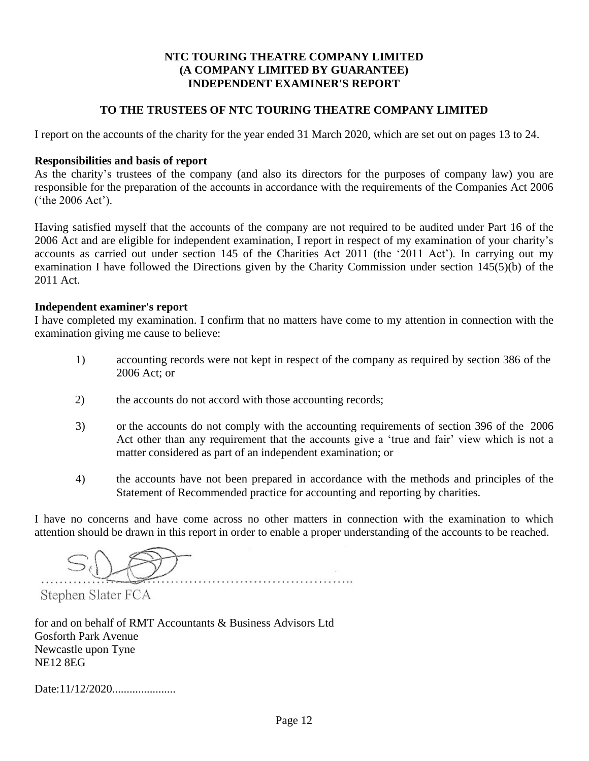# **NTC TOURING THEATRE COMPANY LIMITED (A COMPANY LIMITED BY GUARANTEE) INDEPENDENT EXAMINER'S REPORT**

#### **TO THE TRUSTEES OF NTC TOURING THEATRE COMPANY LIMITED**

I report on the accounts of the charity for the year ended 31 March 2020, which are set out on pages 13 to 24.

#### **Responsibilities and basis of report**

As the charity's trustees of the company (and also its directors for the purposes of company law) you are responsible for the preparation of the accounts in accordance with the requirements of the Companies Act 2006 ('the 2006 Act').

Having satisfied myself that the accounts of the company are not required to be audited under Part 16 of the 2006 Act and are eligible for independent examination, I report in respect of my examination of your charity's accounts as carried out under section 145 of the Charities Act 2011 (the '2011 Act'). In carrying out my examination I have followed the Directions given by the Charity Commission under section 145(5)(b) of the 2011 Act.

#### **Independent examiner's report**

I have completed my examination. I confirm that no matters have come to my attention in connection with the examination giving me cause to believe:

- 1) accounting records were not kept in respect of the company as required by section 386 of the 2006 Act; or
- 2) the accounts do not accord with those accounting records;
- 3) or the accounts do not comply with the accounting requirements of section 396 of the 2006 Act other than any requirement that the accounts give a 'true and fair' view which is not a matter considered as part of an independent examination; or
- 4) the accounts have not been prepared in accordance with the methods and principles of the Statement of Recommended practice for accounting and reporting by charities.

I have no concerns and have come across no other matters in connection with the examination to which attention should be drawn in this report in order to enable a proper understanding of the accounts to be reached.

Stephen Slater FCA

for and on behalf of RMT Accountants & Business Advisors Ltd Gosforth Park Avenue Newcastle upon Tyne NE12 8EG

Date:11/12/2020......................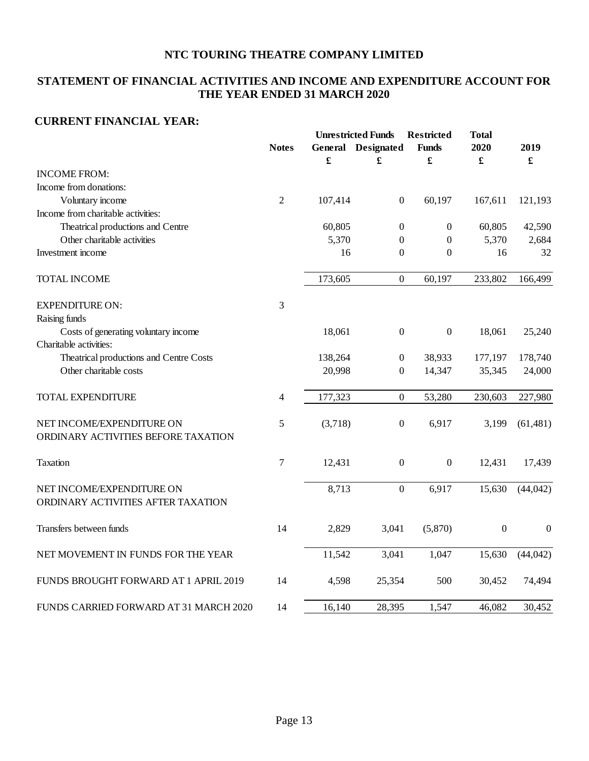# **STATEMENT OF FINANCIAL ACTIVITIES AND INCOME AND EXPENDITURE ACCOUNT FOR THE YEAR ENDED 31 MARCH 2020**

#### **CURRENT FINANCIAL YEAR:**

|                                         |                | <b>Unrestricted Funds</b> |                           | <b>Restricted</b> | <b>Total</b>         |                  |  |
|-----------------------------------------|----------------|---------------------------|---------------------------|-------------------|----------------------|------------------|--|
|                                         | <b>Notes</b>   |                           | <b>General</b> Designated | <b>Funds</b>      | 2020                 | 2019             |  |
|                                         |                | £                         | £                         | £                 | $\pmb{\mathfrak{L}}$ | £                |  |
| <b>INCOME FROM:</b>                     |                |                           |                           |                   |                      |                  |  |
| Income from donations:                  |                |                           |                           |                   |                      |                  |  |
| Voluntary income                        | $\overline{2}$ | 107,414                   | $\boldsymbol{0}$          | 60,197            | 167,611              | 121,193          |  |
| Income from charitable activities:      |                |                           |                           |                   |                      |                  |  |
| Theatrical productions and Centre       |                | 60,805                    | $\boldsymbol{0}$          | $\boldsymbol{0}$  | 60,805               | 42,590           |  |
| Other charitable activities             |                | 5,370                     | $\boldsymbol{0}$          | $\boldsymbol{0}$  | 5,370                | 2,684            |  |
| Investment income                       |                | 16                        | $\boldsymbol{0}$          | $\boldsymbol{0}$  | 16                   | 32               |  |
| <b>TOTAL INCOME</b>                     |                | 173,605                   | $\boldsymbol{0}$          | 60,197            | 233,802              | 166,499          |  |
| <b>EXPENDITURE ON:</b>                  | 3              |                           |                           |                   |                      |                  |  |
| Raising funds                           |                |                           |                           |                   |                      |                  |  |
| Costs of generating voluntary income    |                | 18,061                    | $\mathbf{0}$              | $\boldsymbol{0}$  | 18,061               | 25,240           |  |
| Charitable activities:                  |                |                           |                           |                   |                      |                  |  |
| Theatrical productions and Centre Costs |                | 138,264                   | $\boldsymbol{0}$          | 38,933            | 177,197              | 178,740          |  |
| Other charitable costs                  |                | 20,998                    | $\mathbf{0}$              | 14,347            | 35,345               | 24,000           |  |
| <b>TOTAL EXPENDITURE</b>                | 4              | 177,323                   | $\boldsymbol{0}$          | 53,280            | 230,603              | 227,980          |  |
| NET INCOME/EXPENDITURE ON               | 5              | (3,718)                   | $\boldsymbol{0}$          | 6,917             | 3,199                | (61, 481)        |  |
| ORDINARY ACTIVITIES BEFORE TAXATION     |                |                           |                           |                   |                      |                  |  |
| Taxation                                | $\tau$         | 12,431                    | $\boldsymbol{0}$          | $\boldsymbol{0}$  | 12,431               | 17,439           |  |
| NET INCOME/EXPENDITURE ON               |                | 8,713                     | $\boldsymbol{0}$          | 6,917             | 15,630               | (44, 042)        |  |
| ORDINARY ACTIVITIES AFTER TAXATION      |                |                           |                           |                   |                      |                  |  |
| Transfers between funds                 | 14             | 2,829                     | 3,041                     | (5,870)           | $\boldsymbol{0}$     | $\boldsymbol{0}$ |  |
| NET MOVEMENT IN FUNDS FOR THE YEAR      |                | 11,542                    | 3,041                     | 1,047             | 15,630               | (44, 042)        |  |
| FUNDS BROUGHT FORWARD AT 1 APRIL 2019   | 14             | 4,598                     | 25,354                    | 500               | 30,452               | 74,494           |  |
| FUNDS CARRIED FORWARD AT 31 MARCH 2020  | 14             | 16,140                    | 28,395                    | 1,547             | 46,082               | 30,452           |  |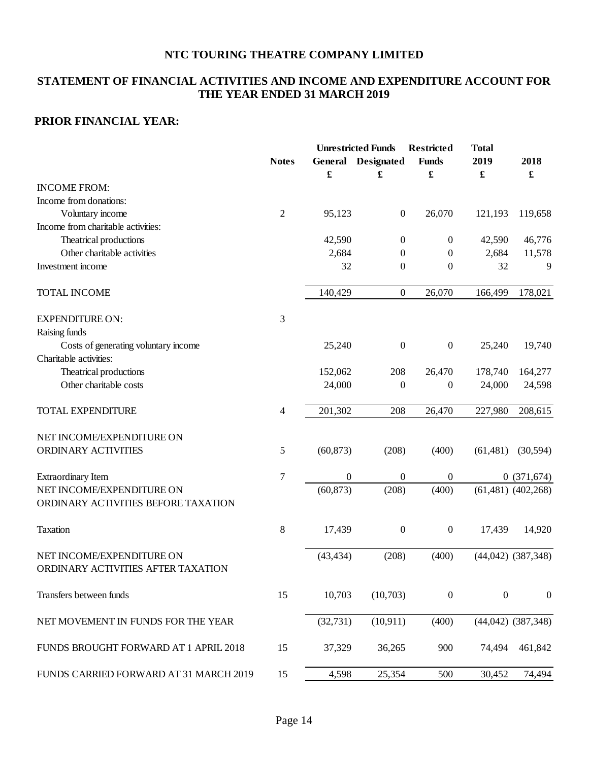# **STATEMENT OF FINANCIAL ACTIVITIES AND INCOME AND EXPENDITURE ACCOUNT FOR THE YEAR ENDED 31 MARCH 2019**

# **PRIOR FINANCIAL YEAR:**

|                                                                 |                |                  | <b>Unrestricted Funds</b> | <b>Restricted</b> | <b>Total</b>         |                        |  |
|-----------------------------------------------------------------|----------------|------------------|---------------------------|-------------------|----------------------|------------------------|--|
|                                                                 | <b>Notes</b>   | General          | <b>Designated</b>         | <b>Funds</b>      | 2019                 | 2018                   |  |
|                                                                 |                | £                | £                         | £                 | $\pmb{\mathfrak{L}}$ | $\pmb{\mathfrak{L}}$   |  |
| <b>INCOME FROM:</b>                                             |                |                  |                           |                   |                      |                        |  |
| Income from donations:                                          |                |                  |                           |                   |                      |                        |  |
| Voluntary income                                                | $\overline{2}$ | 95,123           | $\boldsymbol{0}$          | 26,070            | 121,193              | 119,658                |  |
| Income from charitable activities:                              |                |                  |                           |                   |                      |                        |  |
| Theatrical productions                                          |                | 42,590           | $\boldsymbol{0}$          | $\boldsymbol{0}$  | 42,590               | 46,776                 |  |
| Other charitable activities                                     |                | 2,684            | $\overline{0}$            | $\mathbf{0}$      | 2,684                | 11,578                 |  |
| Investment income                                               |                | 32               | $\theta$                  | $\boldsymbol{0}$  | 32                   | 9                      |  |
| <b>TOTAL INCOME</b>                                             |                | 140,429          | $\boldsymbol{0}$          | 26,070            | 166,499              | 178,021                |  |
| <b>EXPENDITURE ON:</b>                                          | 3              |                  |                           |                   |                      |                        |  |
| Raising funds                                                   |                |                  |                           |                   |                      |                        |  |
| Costs of generating voluntary income                            |                | 25,240           | $\boldsymbol{0}$          | $\boldsymbol{0}$  | 25,240               | 19,740                 |  |
| Charitable activities:                                          |                |                  |                           |                   |                      |                        |  |
| Theatrical productions                                          |                | 152,062          | 208                       | 26,470            | 178,740              | 164,277                |  |
| Other charitable costs                                          |                | 24,000           | $\boldsymbol{0}$          | $\boldsymbol{0}$  | 24,000               | 24,598                 |  |
| <b>TOTAL EXPENDITURE</b>                                        | 4              | 201,302          | 208                       | 26,470            | 227,980              | 208,615                |  |
| NET INCOME/EXPENDITURE ON                                       |                |                  |                           |                   |                      |                        |  |
| ORDINARY ACTIVITIES                                             | 5              | (60, 873)        | (208)                     | (400)             | (61, 481)            | (30, 594)              |  |
| <b>Extraordinary Item</b>                                       | $\overline{7}$ | $\boldsymbol{0}$ | $\boldsymbol{0}$          | $\boldsymbol{0}$  |                      | 0(371,674)             |  |
| NET INCOME/EXPENDITURE ON                                       |                | (60, 873)        | (208)                     | (400)             |                      | $(61,481)$ $(402,268)$ |  |
| ORDINARY ACTIVITIES BEFORE TAXATION                             |                |                  |                           |                   |                      |                        |  |
| <b>Taxation</b>                                                 | 8              | 17,439           | $\boldsymbol{0}$          | $\boldsymbol{0}$  | 17,439               | 14,920                 |  |
| NET INCOME/EXPENDITURE ON<br>ORDINARY ACTIVITIES AFTER TAXATION |                | (43, 434)        | (208)                     | (400)             |                      | $(44,042)$ $(387,348)$ |  |
| Transfers between funds                                         | 15             | 10,703           | (10,703)                  | $\boldsymbol{0}$  | $\boldsymbol{0}$     | $\boldsymbol{0}$       |  |
| NET MOVEMENT IN FUNDS FOR THE YEAR                              |                | (32, 731)        | (10, 911)                 | (400)             |                      | $(44,042)$ $(387,348)$ |  |
| FUNDS BROUGHT FORWARD AT 1 APRIL 2018                           | 15             | 37,329           | 36,265                    | 900               | 74,494               | 461,842                |  |
| FUNDS CARRIED FORWARD AT 31 MARCH 2019                          | 15             | 4,598            | 25,354                    | 500               | 30,452               | 74,494                 |  |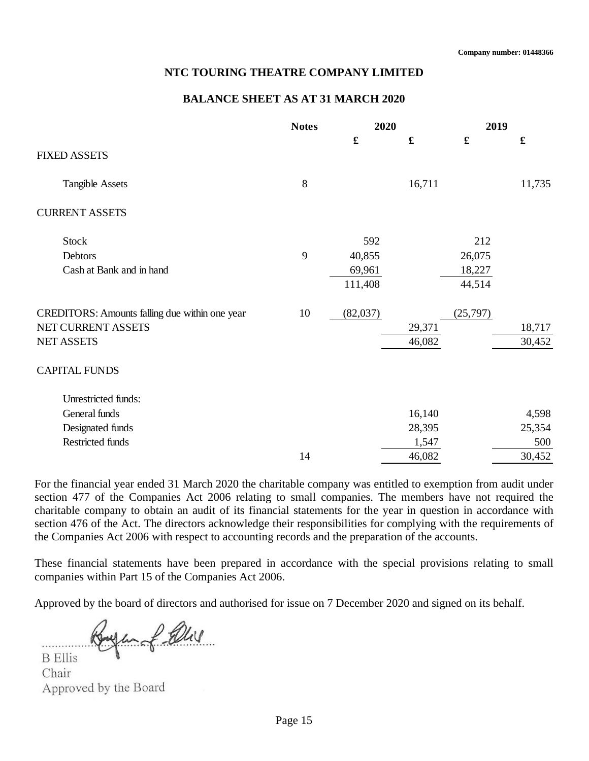#### **BALANCE SHEET AS AT 31 MARCH 2020**

|                                                | <b>Notes</b> | 2020     |             | 2019                 |                      |  |
|------------------------------------------------|--------------|----------|-------------|----------------------|----------------------|--|
|                                                |              |          | $\mathbf f$ | $\pmb{\mathfrak{L}}$ | $\pmb{\mathfrak{L}}$ |  |
| <b>FIXED ASSETS</b>                            |              |          |             |                      |                      |  |
| <b>Tangible Assets</b>                         | $8\,$        |          | 16,711      |                      | 11,735               |  |
| <b>CURRENT ASSETS</b>                          |              |          |             |                      |                      |  |
| <b>Stock</b>                                   |              | 592      |             | 212                  |                      |  |
| Debtors                                        | 9            | 40,855   |             | 26,075               |                      |  |
| Cash at Bank and in hand                       |              | 69,961   |             | 18,227               |                      |  |
|                                                |              | 111,408  |             | 44,514               |                      |  |
| CREDITORS: Amounts falling due within one year | 10           | (82,037) |             | (25,797)             |                      |  |
| NET CURRENT ASSETS                             |              |          | 29,371      |                      | 18,717               |  |
| <b>NET ASSETS</b>                              |              |          | 46,082      |                      | 30,452               |  |
| <b>CAPITAL FUNDS</b>                           |              |          |             |                      |                      |  |
| Unrestricted funds:                            |              |          |             |                      |                      |  |
| General funds                                  |              |          | 16,140      |                      | 4,598                |  |
| Designated funds                               |              |          | 28,395      |                      | 25,354               |  |
| Restricted funds                               |              |          | 1,547       |                      | 500                  |  |
|                                                | 14           |          | 46,082      |                      | 30,452               |  |

For the financial year ended 31 March 2020 the charitable company was entitled to exemption from audit under section 477 of the Companies Act 2006 relating to small companies. The members have not required the charitable company to obtain an audit of its financial statements for the year in question in accordance with section 476 of the Act. The directors acknowledge their responsibilities for complying with the requirements of the Companies Act 2006 with respect to accounting records and the preparation of the accounts.

These financial statements have been prepared in accordance with the special provisions relating to small companies within Part 15 of the Companies Act 2006.

Approved by the board of directors and authorised for issue on 7 December 2020 and signed on its behalf.

Infalls

**B** Ellis Chair Approved by the Board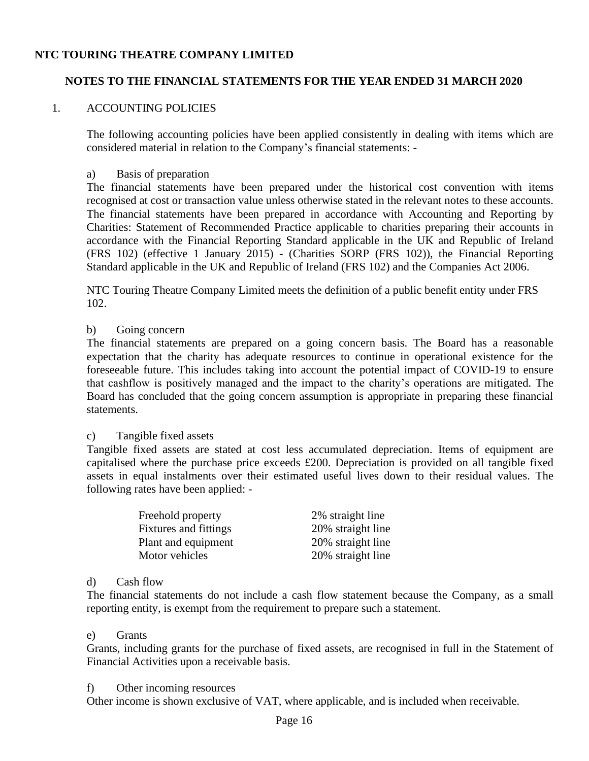# **NOTES TO THE FINANCIAL STATEMENTS FOR THE YEAR ENDED 31 MARCH 2020**

#### 1. ACCOUNTING POLICIES

The following accounting policies have been applied consistently in dealing with items which are considered material in relation to the Company's financial statements: -

#### a) Basis of preparation

The financial statements have been prepared under the historical cost convention with items recognised at cost or transaction value unless otherwise stated in the relevant notes to these accounts. The financial statements have been prepared in accordance with Accounting and Reporting by Charities: Statement of Recommended Practice applicable to charities preparing their accounts in accordance with the Financial Reporting Standard applicable in the UK and Republic of Ireland (FRS 102) (effective 1 January 2015) - (Charities SORP (FRS 102)), the Financial Reporting Standard applicable in the UK and Republic of Ireland (FRS 102) and the Companies Act 2006.

NTC Touring Theatre Company Limited meets the definition of a public benefit entity under FRS 102.

#### b) Going concern

The financial statements are prepared on a going concern basis. The Board has a reasonable expectation that the charity has adequate resources to continue in operational existence for the foreseeable future. This includes taking into account the potential impact of COVID-19 to ensure that cashflow is positively managed and the impact to the charity's operations are mitigated. The Board has concluded that the going concern assumption is appropriate in preparing these financial statements.

#### c) Tangible fixed assets

Tangible fixed assets are stated at cost less accumulated depreciation. Items of equipment are capitalised where the purchase price exceeds £200. Depreciation is provided on all tangible fixed assets in equal instalments over their estimated useful lives down to their residual values. The following rates have been applied: -

| Freehold property     | 2% straight line  |
|-----------------------|-------------------|
| Fixtures and fittings | 20% straight line |
| Plant and equipment   | 20% straight line |
| Motor vehicles        | 20% straight line |

#### d) Cash flow

The financial statements do not include a cash flow statement because the Company, as a small reporting entity, is exempt from the requirement to prepare such a statement.

#### e) Grants

Grants, including grants for the purchase of fixed assets, are recognised in full in the Statement of Financial Activities upon a receivable basis.

#### f) Other incoming resources

Other income is shown exclusive of VAT, where applicable, and is included when receivable.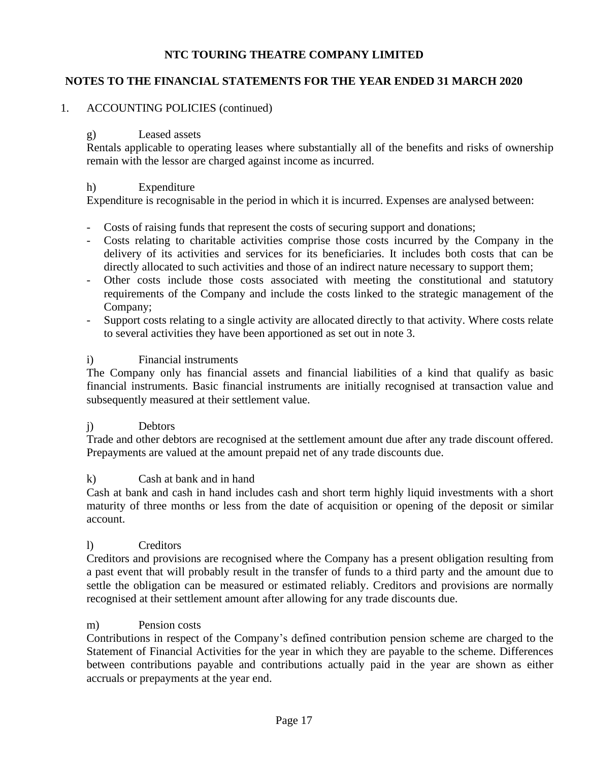# **NOTES TO THE FINANCIAL STATEMENTS FOR THE YEAR ENDED 31 MARCH 2020**

# 1. ACCOUNTING POLICIES (continued)

# g) Leased assets

Rentals applicable to operating leases where substantially all of the benefits and risks of ownership remain with the lessor are charged against income as incurred.

#### h) Expenditure

Expenditure is recognisable in the period in which it is incurred. Expenses are analysed between:

- Costs of raising funds that represent the costs of securing support and donations;
- Costs relating to charitable activities comprise those costs incurred by the Company in the delivery of its activities and services for its beneficiaries. It includes both costs that can be directly allocated to such activities and those of an indirect nature necessary to support them;
- Other costs include those costs associated with meeting the constitutional and statutory requirements of the Company and include the costs linked to the strategic management of the Company;
- Support costs relating to a single activity are allocated directly to that activity. Where costs relate to several activities they have been apportioned as set out in note 3.

#### i) Financial instruments

The Company only has financial assets and financial liabilities of a kind that qualify as basic financial instruments. Basic financial instruments are initially recognised at transaction value and subsequently measured at their settlement value.

# j) Debtors

Trade and other debtors are recognised at the settlement amount due after any trade discount offered. Prepayments are valued at the amount prepaid net of any trade discounts due.

#### k) Cash at bank and in hand

Cash at bank and cash in hand includes cash and short term highly liquid investments with a short maturity of three months or less from the date of acquisition or opening of the deposit or similar account.

#### l) Creditors

Creditors and provisions are recognised where the Company has a present obligation resulting from a past event that will probably result in the transfer of funds to a third party and the amount due to settle the obligation can be measured or estimated reliably. Creditors and provisions are normally recognised at their settlement amount after allowing for any trade discounts due.

#### m) Pension costs

Contributions in respect of the Company's defined contribution pension scheme are charged to the Statement of Financial Activities for the year in which they are payable to the scheme. Differences between contributions payable and contributions actually paid in the year are shown as either accruals or prepayments at the year end.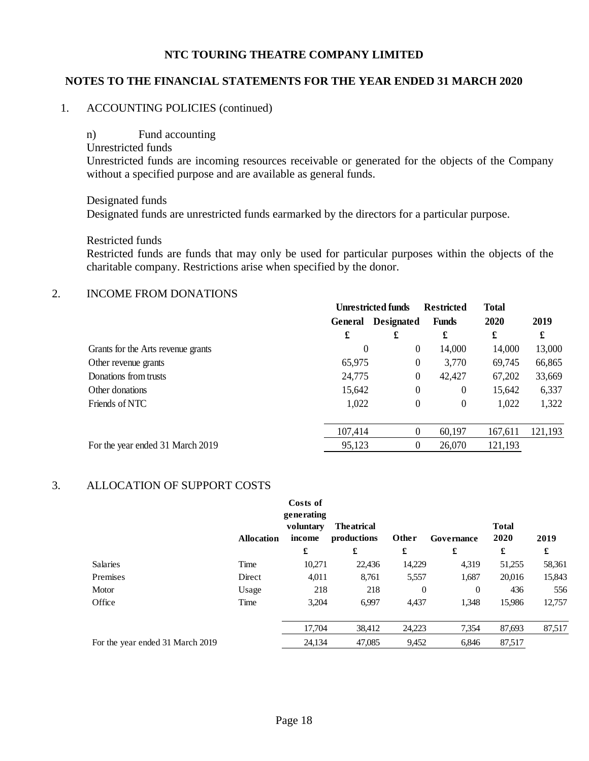#### **NOTES TO THE FINANCIAL STATEMENTS FOR THE YEAR ENDED 31 MARCH 2020**

#### 1. ACCOUNTING POLICIES (continued)

n) Fund accounting Unrestricted funds Unrestricted funds are incoming resources receivable or generated for the objects of the Company without a specified purpose and are available as general funds.

Designated funds Designated funds are unrestricted funds earmarked by the directors for a particular purpose.

Restricted funds

Restricted funds are funds that may only be used for particular purposes within the objects of the charitable company. Restrictions arise when specified by the donor.

#### 2. INCOME FROM DONATIONS

| <b>Unrestricted funds</b> |                   | <b>Restricted</b>                                             | <b>Total</b>                                                                                                           |         |
|---------------------------|-------------------|---------------------------------------------------------------|------------------------------------------------------------------------------------------------------------------------|---------|
| General                   | <b>Designated</b> | <b>Funds</b>                                                  | 2020                                                                                                                   | 2019    |
| £                         | £                 | £                                                             | £                                                                                                                      | £       |
|                           |                   | 14,000                                                        | 14,000                                                                                                                 | 13,000  |
|                           |                   | 3,770                                                         | 69,745                                                                                                                 | 66,865  |
|                           |                   | 42,427                                                        | 67,202                                                                                                                 | 33,669  |
|                           |                   | $\theta$                                                      | 15,642                                                                                                                 | 6,337   |
|                           |                   | $\theta$                                                      | 1,022                                                                                                                  | 1,322   |
|                           |                   |                                                               |                                                                                                                        |         |
|                           |                   | 60,197                                                        | 167,611                                                                                                                | 121,193 |
|                           |                   | 26,070                                                        | 121,193                                                                                                                |         |
|                           |                   | 0<br>65,975<br>24,775<br>15,642<br>1,022<br>107,414<br>95,123 | $\overline{0}$<br>$\boldsymbol{0}$<br>$\boldsymbol{0}$<br>$\boldsymbol{0}$<br>$\theta$<br>$\theta$<br>$\boldsymbol{0}$ |         |

#### 3. ALLOCATION OF SUPPORT COSTS

|                                  | <b>Allocation</b> | Costs of<br>generating<br>voluntary<br>income | <b>Theatrical</b><br>productions | Other            | Governance     | <b>Total</b><br>2020 | 2019   |
|----------------------------------|-------------------|-----------------------------------------------|----------------------------------|------------------|----------------|----------------------|--------|
|                                  |                   | £                                             | £                                | £                | £              | £                    | £      |
| <b>Salaries</b>                  | Time              | 10,271                                        | 22,436                           | 14,229           | 4,319          | 51,255               | 58,361 |
| Premises                         | Direct            | 4,011                                         | 8,761                            | 5,557            | 1,687          | 20,016               | 15,843 |
| Motor                            | Usage             | 218                                           | 218                              | $\boldsymbol{0}$ | $\overline{0}$ | 436                  | 556    |
| Office                           | Time              | 3,204                                         | 6,997                            | 4,437            | 1,348          | 15,986               | 12,757 |
|                                  |                   | 17,704                                        | 38,412                           | 24,223           | 7,354          | 87,693               | 87,517 |
| For the year ended 31 March 2019 |                   | 24,134                                        | 47,085                           | 9,452            | 6,846          | 87,517               |        |
|                                  |                   |                                               |                                  |                  |                |                      |        |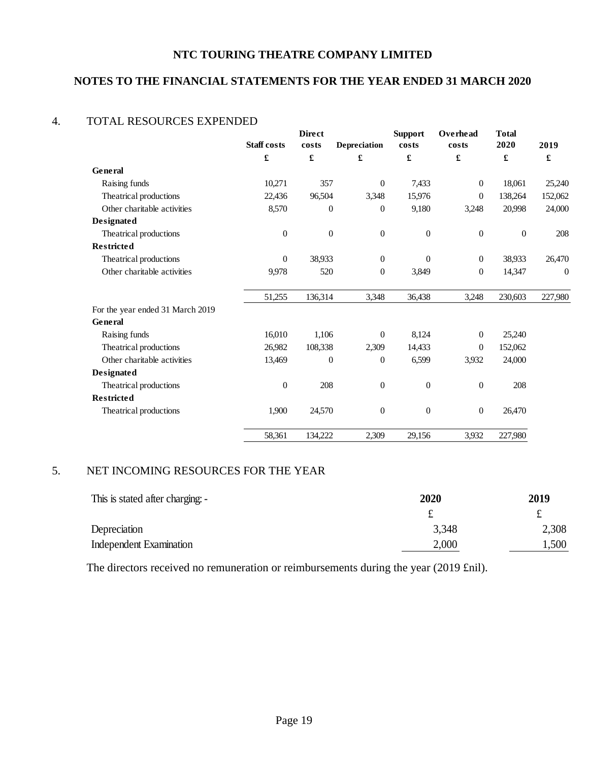# **NOTES TO THE FINANCIAL STATEMENTS FOR THE YEAR ENDED 31 MARCH 2020**

#### 4. TOTAL RESOURCES EXPENDED

|                                  | <b>Staff</b> costs | <b>Direct</b><br>costs | Depreciation     | <b>Support</b><br>costs | Overhead<br>costs | <b>Total</b><br>2020 | 2019             |
|----------------------------------|--------------------|------------------------|------------------|-------------------------|-------------------|----------------------|------------------|
|                                  | £                  | £                      | £                | £                       | £                 | $\pmb{\mathfrak{L}}$ | £                |
| General                          |                    |                        |                  |                         |                   |                      |                  |
| Raising funds                    | 10,271             | 357                    | $\mathbf{0}$     | 7,433                   | $\overline{0}$    | 18,061               | 25,240           |
| Theatrical productions           | 22,436             | 96,504                 | 3,348            | 15,976                  | $\Omega$          | 138,264              | 152,062          |
| Other charitable activities      | 8,570              | $\theta$               | $\mathbf{0}$     | 9,180                   | 3,248             | 20,998               | 24,000           |
| Designated                       |                    |                        |                  |                         |                   |                      |                  |
| Theatrical productions           | $\mathbf{0}$       | $\theta$               | $\boldsymbol{0}$ | $\boldsymbol{0}$        | $\theta$          | $\mathbf{0}$         | 208              |
| <b>Restricted</b>                |                    |                        |                  |                         |                   |                      |                  |
| Theatrical productions           | $\overline{0}$     | 38,933                 | $\overline{0}$   | $\boldsymbol{0}$        | $\boldsymbol{0}$  | 38,933               | 26,470           |
| Other charitable activities      | 9,978              | 520                    | $\mathbf{0}$     | 3,849                   | $\overline{0}$    | 14,347               | $\boldsymbol{0}$ |
|                                  | 51,255             | 136,314                | 3,348            | 36,438                  | 3,248             | 230,603              | 227,980          |
| For the year ended 31 March 2019 |                    |                        |                  |                         |                   |                      |                  |
| General                          |                    |                        |                  |                         |                   |                      |                  |
| Raising funds                    | 16,010             | 1,106                  | $\overline{0}$   | 8,124                   | $\mathbf{0}$      | 25,240               |                  |
| Theatrical productions           | 26,982             | 108,338                | 2,309            | 14,433                  | $\mathbf{0}$      | 152,062              |                  |
| Other charitable activities      | 13,469             | $\Omega$               | $\Omega$         | 6,599                   | 3,932             | 24,000               |                  |
| Designated                       |                    |                        |                  |                         |                   |                      |                  |
| Theatrical productions           | $\overline{0}$     | 208                    | $\overline{0}$   | 0                       | $\overline{0}$    | 208                  |                  |
| <b>Restricted</b>                |                    |                        |                  |                         |                   |                      |                  |
| Theatrical productions           | 1,900              | 24,570                 | $\overline{0}$   | $\mathbf{0}$            | $\overline{0}$    | 26,470               |                  |
|                                  | 58,361             | 134,222                | 2,309            | 29,156                  | 3,932             | 227,980              |                  |

# 5. NET INCOMING RESOURCES FOR THE YEAR

| This is stated after charging: - | 2020  | 2019  |  |  |
|----------------------------------|-------|-------|--|--|
|                                  |       |       |  |  |
| Depreciation                     | 3,348 | 2,308 |  |  |
| Independent Examination          | 2,000 | 1,500 |  |  |

The directors received no remuneration or reimbursements during the year (2019 £nil).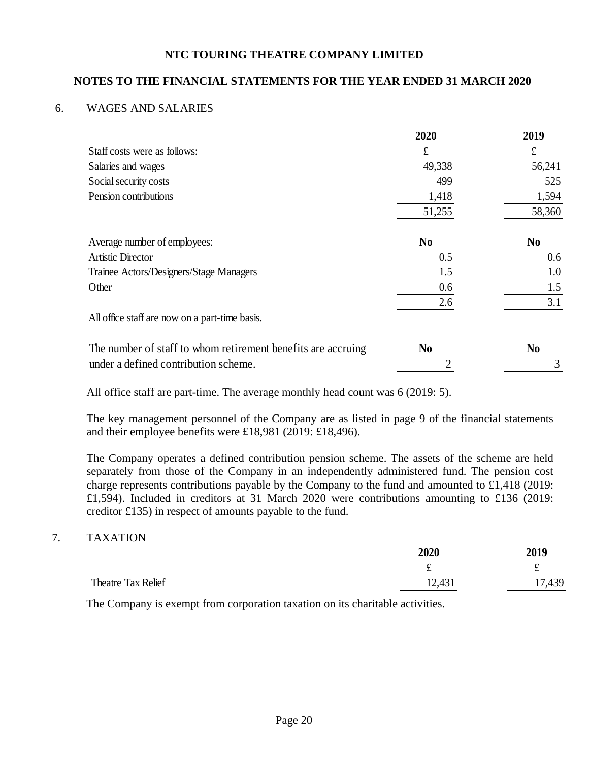# **NOTES TO THE FINANCIAL STATEMENTS FOR THE YEAR ENDED 31 MARCH 2020**

#### 6. WAGES AND SALARIES

|                                                              | 2020           | 2019           |
|--------------------------------------------------------------|----------------|----------------|
| Staff costs were as follows:                                 | £              | $\pounds$      |
| Salaries and wages                                           | 49,338         | 56,241         |
| Social security costs                                        | 499            | 525            |
| Pension contributions                                        | 1,418          | 1,594          |
|                                                              | 51,255         | 58,360         |
| Average number of employees:                                 | No             | N <sub>0</sub> |
| <b>Artistic Director</b>                                     | 0.5            | 0.6            |
| Trainee Actors/Designers/Stage Managers                      | 1.5            | 1.0            |
| Other                                                        | 0.6            | 1.5            |
|                                                              | 2.6            | 3.1            |
| All office staff are now on a part-time basis.               |                |                |
| The number of staff to whom retirement benefits are accruing | N <sub>0</sub> | N <sub>0</sub> |
| under a defined contribution scheme.                         |                | 3              |

All office staff are part-time. The average monthly head count was 6 (2019: 5).

The key management personnel of the Company are as listed in page 9 of the financial statements and their employee benefits were £18,981 (2019: £18,496).

The Company operates a defined contribution pension scheme. The assets of the scheme are held separately from those of the Company in an independently administered fund. The pension cost charge represents contributions payable by the Company to the fund and amounted to £1,418 (2019: £1,594). Included in creditors at 31 March 2020 were contributions amounting to £136 (2019: creditor £135) in respect of amounts payable to the fund.

#### 7. TAXATION

|                    | 2020   | 2019   |  |
|--------------------|--------|--------|--|
|                    | $\sim$ | £      |  |
| Theatre Tax Relief | 12,431 | 17,439 |  |

The Company is exempt from corporation taxation on its charitable activities.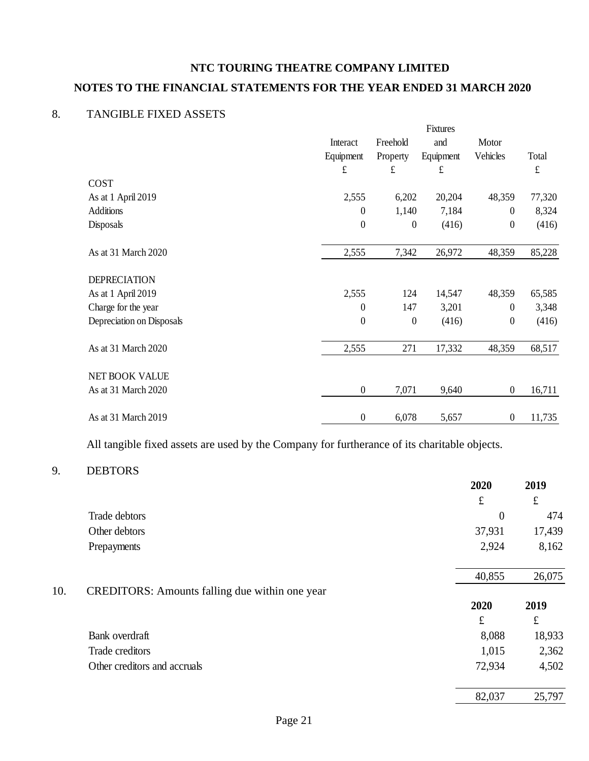# **NTC TOURING THEATRE COMPANY LIMITED NOTES TO THE FINANCIAL STATEMENTS FOR THE YEAR ENDED 31 MARCH 2020**

# 8. TANGIBLE FIXED ASSETS

|                           |                  | Fixtures         |           |                  |           |
|---------------------------|------------------|------------------|-----------|------------------|-----------|
|                           | Interact         | Freehold         | and       | Motor            |           |
|                           | Equipment        | Property         | Equipment | Vehicles         | Total     |
|                           | £                | £                | £         |                  | $\pounds$ |
| <b>COST</b>               |                  |                  |           |                  |           |
| As at 1 April 2019        | 2,555            | 6,202            | 20,204    | 48,359           | 77,320    |
| <b>Additions</b>          | $\boldsymbol{0}$ | 1,140            | 7,184     | $\overline{0}$   | 8,324     |
| Disposals                 | $\boldsymbol{0}$ | $\boldsymbol{0}$ | (416)     | $\boldsymbol{0}$ | (416)     |
| As at 31 March 2020       | 2,555            | 7,342            | 26,972    | 48,359           | 85,228    |
| <b>DEPRECIATION</b>       |                  |                  |           |                  |           |
| As at 1 April 2019        | 2,555            | 124              | 14,547    | 48,359           | 65,585    |
| Charge for the year       | $\theta$         | 147              | 3,201     | $\overline{0}$   | 3,348     |
| Depreciation on Disposals | $\boldsymbol{0}$ | $\boldsymbol{0}$ | (416)     | $\boldsymbol{0}$ | (416)     |
| As at 31 March 2020       | 2,555            | 271              | 17,332    | 48,359           | 68,517    |
| NET BOOK VALUE            |                  |                  |           |                  |           |
| As at 31 March 2020       | $\boldsymbol{0}$ | 7,071            | 9,640     | $\boldsymbol{0}$ | 16,711    |
| As at 31 March 2019       | $\boldsymbol{0}$ | 6,078            | 5,657     | $\boldsymbol{0}$ | 11,735    |

All tangible fixed assets are used by the Company for furtherance of its charitable objects.

# 9. DEBTORS

|     |                                                       | 2020      | 2019      |
|-----|-------------------------------------------------------|-----------|-----------|
|     |                                                       | $\pounds$ | $\pounds$ |
|     | Trade debtors                                         | $\theta$  | 474       |
|     | Other debtors                                         | 37,931    | 17,439    |
|     | Prepayments                                           | 2,924     | 8,162     |
|     |                                                       | 40,855    | 26,075    |
| 10. | <b>CREDITORS:</b> Amounts falling due within one year |           |           |
|     |                                                       | 2020      | 2019      |
|     |                                                       | $\pounds$ | $\pounds$ |
|     | Bank overdraft                                        | 8,088     | 18,933    |
|     | Trade creditors                                       | 1,015     | 2,362     |
|     | Other creditors and accruals                          | 72,934    | 4,502     |
|     |                                                       | 82,037    | 25,797    |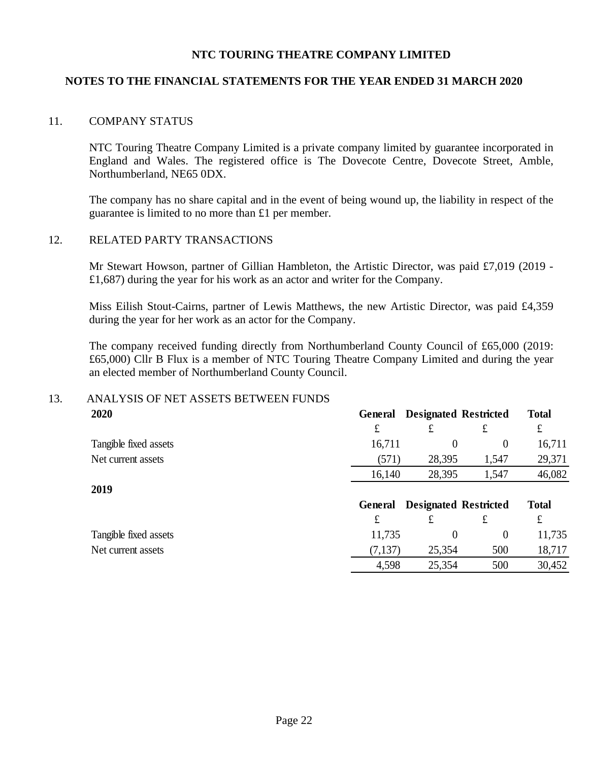# **NOTES TO THE FINANCIAL STATEMENTS FOR THE YEAR ENDED 31 MARCH 2020**

#### 11. COMPANY STATUS

NTC Touring Theatre Company Limited is a private company limited by guarantee incorporated in England and Wales. The registered office is The Dovecote Centre, Dovecote Street, Amble, Northumberland, NE65 0DX.

The company has no share capital and in the event of being wound up, the liability in respect of the guarantee is limited to no more than £1 per member.

#### 12. RELATED PARTY TRANSACTIONS

Mr Stewart Howson, partner of Gillian Hambleton, the Artistic Director, was paid £7,019 (2019 - £1,687) during the year for his work as an actor and writer for the Company.

Miss Eilish Stout-Cairns, partner of Lewis Matthews, the new Artistic Director, was paid £4,359 during the year for her work as an actor for the Company.

The company received funding directly from Northumberland County Council of £65,000 (2019: £65,000) Cllr B Flux is a member of NTC Touring Theatre Company Limited and during the year an elected member of Northumberland County Council.

# 13. ANALYSIS OF NET ASSETS BETWEEN FUNDS

| 2020                  | General | <b>Designated Restricted</b> |          | <b>Total</b> |
|-----------------------|---------|------------------------------|----------|--------------|
|                       | £       | £                            | £        | £            |
| Tangible fixed assets | 16,711  | $\theta$                     | $\theta$ | 16,711       |
| Net current assets    | (571)   | 28,395                       | 1,547    | 29,371       |
|                       | 16,140  | 28,395                       | 1,547    | 46,082       |
| 2019                  |         |                              |          |              |
|                       | General | <b>Designated Restricted</b> |          | <b>Total</b> |
|                       | £       | £                            | £        | £            |
| Tangible fixed assets | 11,735  | $\theta$                     | $\theta$ | 11,735       |
| Net current assets    | (7,137) | 25,354                       | 500      | 18,717       |
|                       | 4,598   | 25,354                       | 500      | 30,452       |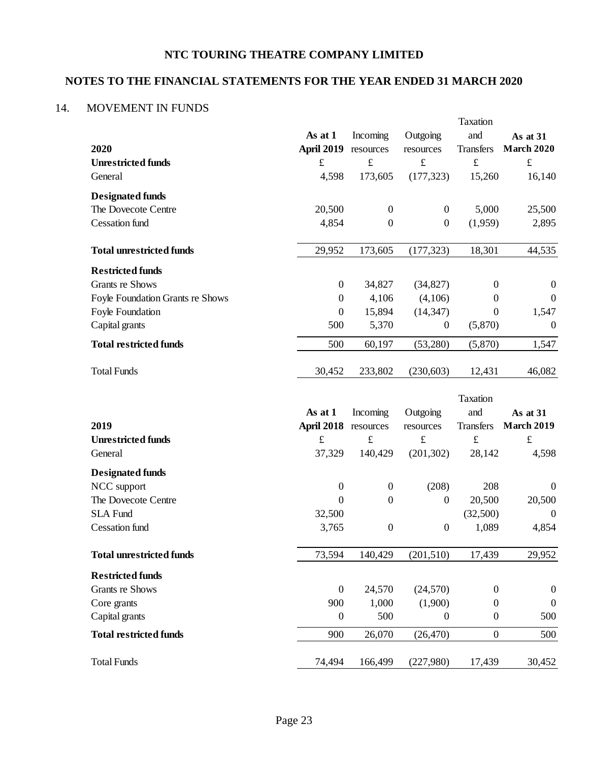# **NOTES TO THE FINANCIAL STATEMENTS FOR THE YEAR ENDED 31 MARCH 2020**

# 14. MOVEMENT IN FUNDS

|                                  |                   |                  |                  | Taxation         |                   |
|----------------------------------|-------------------|------------------|------------------|------------------|-------------------|
|                                  | As at 1           | Incoming         | Outgoing         | and              | As at 31          |
| 2020                             | <b>April 2019</b> | resources        | resources        | <b>Transfers</b> | <b>March 2020</b> |
| <b>Unrestricted funds</b>        | $\pounds$         | $\pounds$        | $\pounds$        | $\pounds$        | $\pounds$         |
| General                          | 4,598             | 173,605          | (177, 323)       | 15,260           | 16,140            |
| <b>Designated funds</b>          |                   |                  |                  |                  |                   |
| The Dovecote Centre              | 20,500            | $\boldsymbol{0}$ | $\overline{0}$   | 5,000            | 25,500            |
| <b>Cessation</b> fund            | 4,854             | $\boldsymbol{0}$ | $\boldsymbol{0}$ | (1,959)          | 2,895             |
| <b>Total unrestricted funds</b>  | 29,952            | 173,605          | (177, 323)       | 18,301           | 44,535            |
| <b>Restricted funds</b>          |                   |                  |                  |                  |                   |
| <b>Grants re Shows</b>           | $\boldsymbol{0}$  | 34,827           | (34, 827)        | $\boldsymbol{0}$ | $\boldsymbol{0}$  |
| Foyle Foundation Grants re Shows | $\boldsymbol{0}$  | 4,106            | (4,106)          | $\overline{0}$   | $\boldsymbol{0}$  |
| Foyle Foundation                 | $\boldsymbol{0}$  | 15,894           | (14, 347)        | $\Omega$         | 1,547             |
| Capital grants                   | 500               | 5,370            | $\boldsymbol{0}$ | (5,870)          | $\mathbf{0}$      |
| <b>Total restricted funds</b>    | 500               | 60,197           | (53,280)         | (5,870)          | 1,547             |
| <b>Total Funds</b>               | 30,452            | 233,802          | (230, 603)       | 12,431           | 46,082            |
|                                  |                   |                  |                  | Taxation         |                   |
|                                  | As at 1           | Incoming         | Outgoing         | and              | As at 31          |
| 2019                             | <b>April 2018</b> | resources        | resources        | <b>Transfers</b> | <b>March 2019</b> |
| <b>Unrestricted funds</b>        | $\mathbf f$       | $\pounds$        | $\mathbf f$      | $\pounds$        | $\pounds$         |
| General                          | 37,329            | 140,429          | (201, 302)       | 28,142           | 4,598             |
| <b>Designated funds</b>          |                   |                  |                  |                  |                   |
| NCC support                      | $\boldsymbol{0}$  | $\boldsymbol{0}$ | (208)            | 208              | $\boldsymbol{0}$  |
| The Dovecote Centre              | $\mathbf{0}$      | $\boldsymbol{0}$ | $\boldsymbol{0}$ | 20,500           | 20,500            |
| <b>SLA Fund</b>                  | 32,500            |                  |                  | (32,500)         | $\boldsymbol{0}$  |
| <b>Cessation</b> fund            | 3,765             | $\boldsymbol{0}$ | $\boldsymbol{0}$ | 1,089            | 4,854             |
| <b>Total unrestricted funds</b>  |                   |                  |                  |                  |                   |
|                                  | 73,594            | 140,429          | (201, 510)       | 17,439           | 29,952            |
| <b>Restricted funds</b>          |                   |                  |                  |                  |                   |
| <b>Grants re Shows</b>           | $\boldsymbol{0}$  | 24,570           | (24, 570)        | $\boldsymbol{0}$ | $\boldsymbol{0}$  |
| Core grants                      | 900               | 1,000            | (1,900)          | $\boldsymbol{0}$ | $\boldsymbol{0}$  |
| Capital grants                   | $\boldsymbol{0}$  | 500              | $\boldsymbol{0}$ | $\boldsymbol{0}$ | 500               |
| <b>Total restricted funds</b>    | 900               | 26,070           | (26, 470)        | $\boldsymbol{0}$ | 500               |